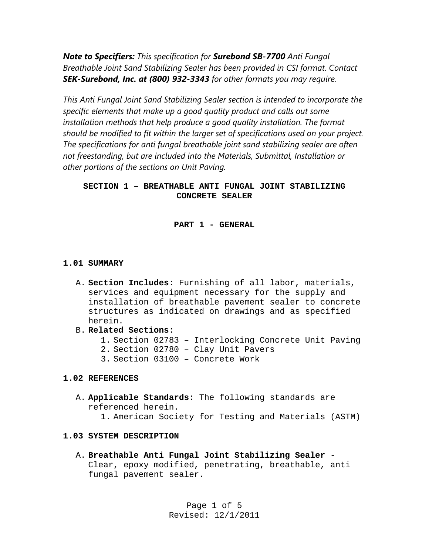*Note to Specifiers: This specification for Surebond SB-7700 Anti Fungal Breathable Joint Sand Stabilizing Sealer has been provided in CSI format. Contact SEK-Surebond, Inc. at (800) 932-3343 for other formats you may require.* 

*This Anti Fungal Joint Sand Stabilizing Sealer section is intended to incorporate the specific elements that make up a good quality product and calls out some*  installation methods that help produce a good quality installation. The format *should be modified to fit within the larger set of specifications used on your project. The specifications for anti fungal breathable joint sand stabilizing sealer are often not freestanding, but are included into the Materials, Submittal, Installation or other portions of the sections on Unit Paving.* 

# **SECTION 1 – BREATHABLE ANTI FUNGAL JOINT STABILIZING CONCRETE SEALER**

**PART 1 - GENERAL**

### **1.01 SUMMARY**

- A. **Section Includes:** Furnishing of all labor, materials, services and equipment necessary for the supply and installation of breathable pavement sealer to concrete structures as indicated on drawings and as specified herein.
- B. **Related Sections:**
	- 1. Section 02783 Interlocking Concrete Unit Paving
	- 2. Section 02780 Clay Unit Pavers
	- 3. Section 03100 Concrete Work

### **1.02 REFERENCES**

A. **Applicable Standards:** The following standards are referenced herein. 1. American Society for Testing and Materials (ASTM)

### **1.03 SYSTEM DESCRIPTION**

A. **Breathable Anti Fungal Joint Stabilizing Sealer** - Clear, epoxy modified, penetrating, breathable, anti fungal pavement sealer.

> Page 1 of 5 Revised: 12/1/2011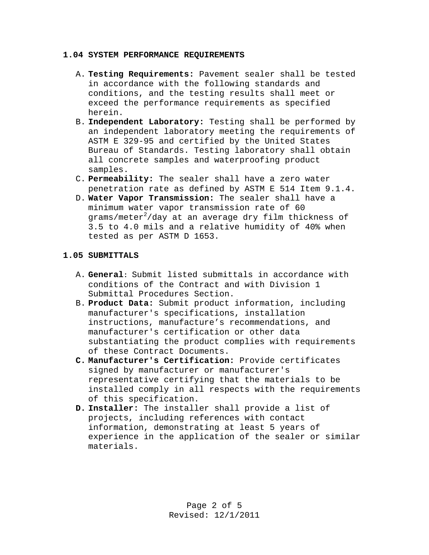#### **1.04 SYSTEM PERFORMANCE REQUIREMENTS**

- A. **Testing Requirements:** Pavement sealer shall be tested in accordance with the following standards and conditions, and the testing results shall meet or exceed the performance requirements as specified herein.
- B. **Independent Laboratory:** Testing shall be performed by an independent laboratory meeting the requirements of ASTM E 329-95 and certified by the United States Bureau of Standards. Testing laboratory shall obtain all concrete samples and waterproofing product samples.
- C. **Permeability:** The sealer shall have a zero water penetration rate as defined by ASTM E 514 Item 9.1.4.
- D. **Water Vapor Transmission:** The sealer shall have a minimum water vapor transmission rate of 60 grams/meter $^2$ /day at an average dry film thickness of 3.5 to 4.0 mils and a relative humidity of 40% when tested as per ASTM D 1653.

### **1.05 SUBMITTALS**

- A. **General:** Submit listed submittals in accordance with conditions of the Contract and with Division 1 Submittal Procedures Section.
- B. **Product Data:** Submit product information, including manufacturer's specifications, installation instructions, manufacture's recommendations, and manufacturer's certification or other data substantiating the product complies with requirements of these Contract Documents.
- **C. Manufacturer's Certification:** Provide certificates signed by manufacturer or manufacturer's representative certifying that the materials to be installed comply in all respects with the requirements of this specification.
- **D. Installer:** The installer shall provide a list of projects, including references with contact information, demonstrating at least 5 years of experience in the application of the sealer or similar materials.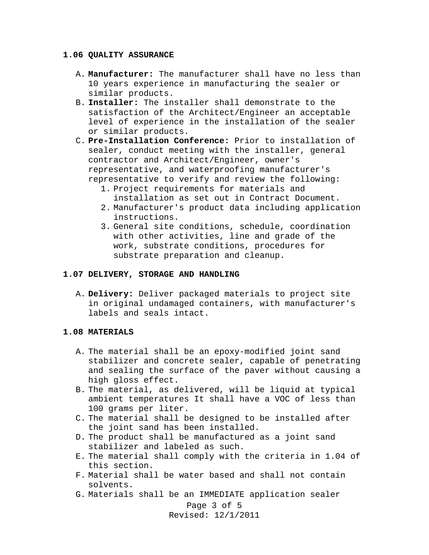#### **1.06 QUALITY ASSURANCE**

- A. **Manufacturer:** The manufacturer shall have no less than 10 years experience in manufacturing the sealer or similar products.
- B. **Installer:** The installer shall demonstrate to the satisfaction of the Architect/Engineer an acceptable level of experience in the installation of the sealer or similar products.
- C. **Pre-Installation Conference:** Prior to installation of sealer, conduct meeting with the installer, general contractor and Architect/Engineer, owner's representative, and waterproofing manufacturer's representative to verify and review the following:
	- 1. Project requirements for materials and installation as set out in Contract Document.
	- 2. Manufacturer's product data including application instructions.
	- 3. General site conditions, schedule, coordination with other activities, line and grade of the work, substrate conditions, procedures for substrate preparation and cleanup.

### **1.07 DELIVERY, STORAGE AND HANDLING**

A. **Delivery:** Deliver packaged materials to project site in original undamaged containers, with manufacturer's labels and seals intact.

### **1.08 MATERIALS**

- A. The material shall be an epoxy-modified joint sand stabilizer and concrete sealer, capable of penetrating and sealing the surface of the paver without causing a high gloss effect.
- B. The material, as delivered, will be liquid at typical ambient temperatures It shall have a VOC of less than 100 grams per liter.
- C. The material shall be designed to be installed after the joint sand has been installed.
- D. The product shall be manufactured as a joint sand stabilizer and labeled as such.
- E. The material shall comply with the criteria in 1.04 of this section.
- F. Material shall be water based and shall not contain solvents.
- G. Materials shall be an IMMEDIATE application sealer

Page 3 of 5 Revised: 12/1/2011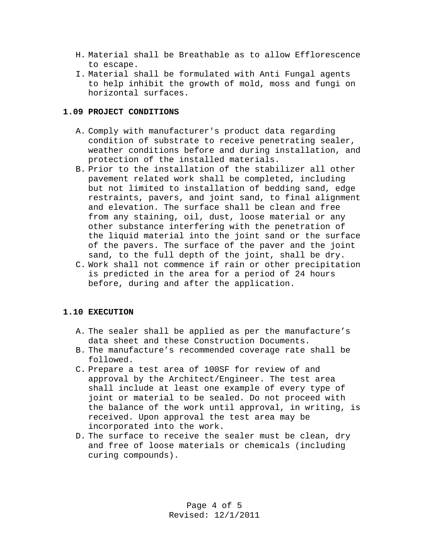- H. Material shall be Breathable as to allow Efflorescence to escape.
- I. Material shall be formulated with Anti Fungal agents to help inhibit the growth of mold, moss and fungi on horizontal surfaces.

# **1.09 PROJECT CONDITIONS**

- A. Comply with manufacturer's product data regarding condition of substrate to receive penetrating sealer, weather conditions before and during installation, and protection of the installed materials.
- B. Prior to the installation of the stabilizer all other pavement related work shall be completed, including but not limited to installation of bedding sand, edge restraints, pavers, and joint sand, to final alignment and elevation. The surface shall be clean and free from any staining, oil, dust, loose material or any other substance interfering with the penetration of the liquid material into the joint sand or the surface of the pavers. The surface of the paver and the joint sand, to the full depth of the joint, shall be dry.
- C. Work shall not commence if rain or other precipitation is predicted in the area for a period of 24 hours before, during and after the application.

# **1.10 EXECUTION**

- A. The sealer shall be applied as per the manufacture's data sheet and these Construction Documents.
- B. The manufacture's recommended coverage rate shall be followed.
- C. Prepare a test area of 100SF for review of and approval by the Architect/Engineer. The test area shall include at least one example of every type of joint or material to be sealed. Do not proceed with the balance of the work until approval, in writing, is received. Upon approval the test area may be incorporated into the work.
- D. The surface to receive the sealer must be clean, dry and free of loose materials or chemicals (including curing compounds).